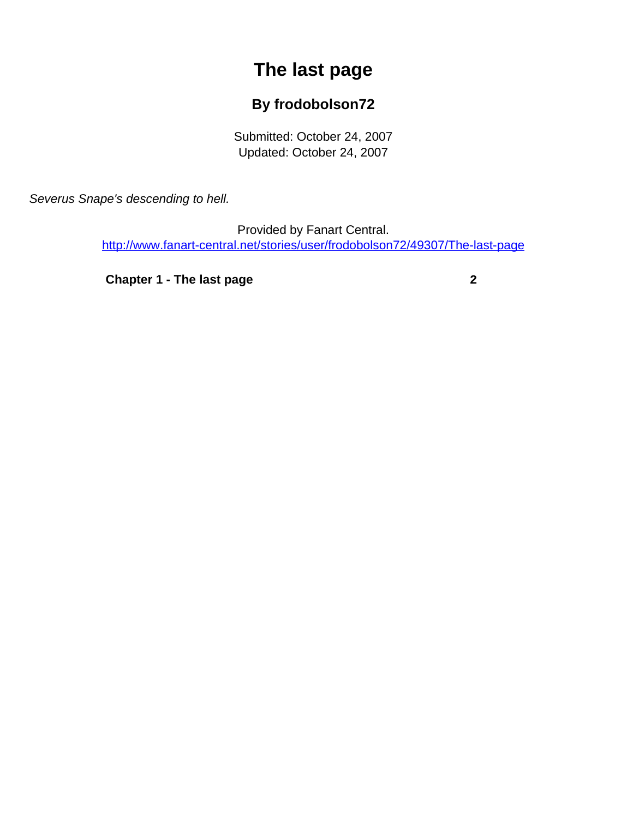## **The last page**

## **By frodobolson72**

Submitted: October 24, 2007 Updated: October 24, 2007

<span id="page-0-0"></span>Severus Snape's descending to hell.

Provided by Fanart Central. [http://www.fanart-central.net/stories/user/frodobolson72/49307/The-last-page](#page-0-0)

**[Chapter 1 - The last page](#page-1-0)** [2](#page-1-0)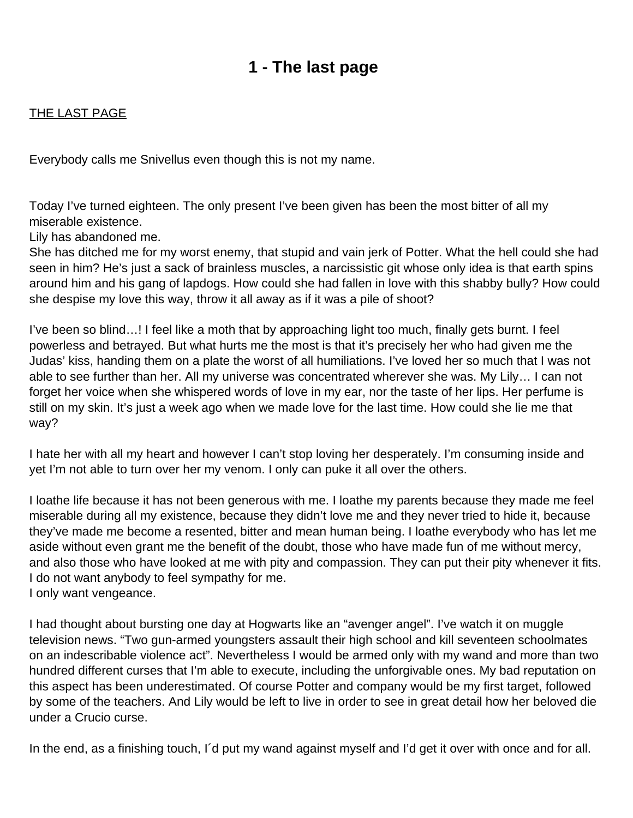## **1 - The last page**

## <span id="page-1-0"></span>THE LAST PAGE

Everybody calls me Snivellus even though this is not my name.

Today I've turned eighteen. The only present I've been given has been the most bitter of all my miserable existence.

Lily has abandoned me.

She has ditched me for my worst enemy, that stupid and vain jerk of Potter. What the hell could she had seen in him? He's just a sack of brainless muscles, a narcissistic git whose only idea is that earth spins around him and his gang of lapdogs. How could she had fallen in love with this shabby bully? How could she despise my love this way, throw it all away as if it was a pile of shoot?

I've been so blind…! I feel like a moth that by approaching light too much, finally gets burnt. I feel powerless and betrayed. But what hurts me the most is that it's precisely her who had given me the Judas' kiss, handing them on a plate the worst of all humiliations. I've loved her so much that I was not able to see further than her. All my universe was concentrated wherever she was. My Lily… I can not forget her voice when she whispered words of love in my ear, nor the taste of her lips. Her perfume is still on my skin. It's just a week ago when we made love for the last time. How could she lie me that way?

I hate her with all my heart and however I can't stop loving her desperately. I'm consuming inside and yet I'm not able to turn over her my venom. I only can puke it all over the others.

I loathe life because it has not been generous with me. I loathe my parents because they made me feel miserable during all my existence, because they didn't love me and they never tried to hide it, because they've made me become a resented, bitter and mean human being. I loathe everybody who has let me aside without even grant me the benefit of the doubt, those who have made fun of me without mercy, and also those who have looked at me with pity and compassion. They can put their pity whenever it fits. I do not want anybody to feel sympathy for me. I only want vengeance.

I had thought about bursting one day at Hogwarts like an "avenger angel". I've watch it on muggle television news. "Two gun-armed youngsters assault their high school and kill seventeen schoolmates on an indescribable violence act". Nevertheless I would be armed only with my wand and more than two hundred different curses that I'm able to execute, including the unforgivable ones. My bad reputation on this aspect has been underestimated. Of course Potter and company would be my first target, followed by some of the teachers. And Lily would be left to live in order to see in great detail how her beloved die under a Crucio curse.

In the end, as a finishing touch, I´d put my wand against myself and I'd get it over with once and for all.